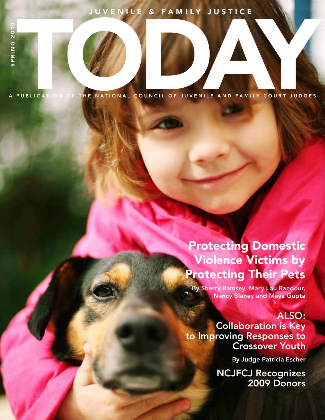# JUVENILE & FAMILY JUSTICE

A PUBLICATION OF THE NATIONAL COUNCIL OF JUVENILE AND FAMILY COURT JUDGES

# Protecting Domestic Violence Victims by Protecting Their Pets

By Sherry Ramsey, Mary Lou Randour, Nancy Blaney and Maya Gupta

## ALSO:

Collaboration is Key to Improving Responses to Crossover Youth

By Judge Patricia Escher

NCJFCJ Recognizes 2009 Donors

JUVENILE AND FAMILY JUSTICE TODAY | SPRING 2010 1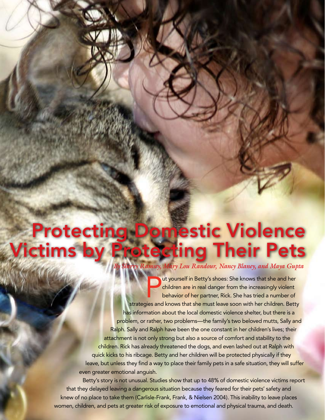# Protecting Domestic Violence Victims by Protecting Their Pets *By Sherry Ramsey, Mary Lou Randour, Nancy Blaney, and Maya Gupta*

I wat yourself in Betty's shoes: She knows that she and her children are in real danger from the increasingly violent behavior of her partner, Rick. She has tried a number of strategies and knows that she must leave soon w ut yourself in Betty's shoes: She knows that she and her children are in real danger from the increasingly violent behavior of her partner, Rick. She has tried a number of has information about the local domestic violence shelter, but there is a problem, or rather, two problems—the family's two beloved mutts, Sally and Ralph. Sally and Ralph have been the one constant in her children's lives; their attachment is not only strong but also a source of comfort and stability to the children. Rick has already threatened the dogs, and even lashed out at Ralph with quick kicks to his ribcage. Betty and her children will be protected physically if they leave, but unless they find a way to place their family pets in a safe situation, they will suffer even greater emotional anguish.

16 JULIE AND FAMILY JUSTICE TO AND FAMILY JUSTICE TO AND THE SPACE OF SPRING 2010 Betty's story is not unusual. Studies show that up to 48% of domestic violence victims report that they delayed leaving a dangerous situation because they feared for their pets' safety and knew of no place to take them (Carlisle-Frank, Frank, & Nielsen 2004). This inability to leave places women, children, and pets at greater risk of exposure to emotional and physical trauma, and death.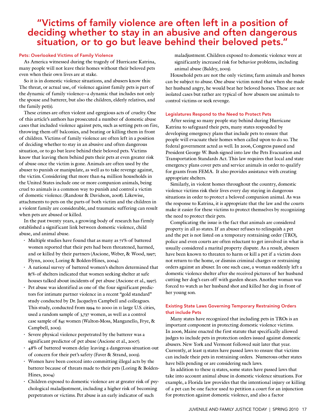## "Victims of family violence are often left in a position of deciding whether to stay in an abusive and often dangerous situation, or to go but leave behind their beloved pets."

### Pets: Overlooked Victims of Family Violence

As America witnessed during the tragedy of Hurricane Katrina, many people will not leave their homes without their beloved pets even when their own lives are at stake.

So it is in domestic violence situations, and abusers know this: The threat, or actual use, of violence against family pets is part of the dynamic of family violence—a dynamic that includes not only the spouse and batterer, but also the children, elderly relatives, and the family pet(s).

These crimes are often violent and egregious acts of cruelty. One of this article's authors has prosecuted a number of domestic abuse cases that included violence against pets, such as setting pets on fire, throwing them off balconies, and beating or killing them in front of children. Victims of family violence are often left in a position of deciding whether to stay in an abusive and often dangerous situation, or to go but leave behind their beloved pets. Victims know that leaving them behind puts their pets at even greater risk of abuse once the victim is gone. Animals are often used by the abuser to punish or manipulate, as well as to take revenge against, the victim. Considering that more than 64 million households in the United States include one or more companion animals, being cruel to animals is a common way to punish and control a victim of domestic violence. (Randour & Davidson, 2008). Likewise, attachments to pets on the parts of both victim and the children in a violent family are considerable, and traumatic suffering can result when pets are abused or killed.

In the past twenty years, a growing body of research has firmly established a significant link between domestic violence, child abuse, and animal abuse.

- Multiple studies have found that as many as  $71\%$  of battered women reported that their pets had been threatened, harmed, and or killed by their partners (Ascione, Weber, & Wood, 1997; Flynn, 2000; Loring & Bolden-Hines, 2004).
- A national survey of battered women's shelters determined that 85% of shelters indicated that women seeking shelter at safe houses talked about incidents of pet abuse (Ascione et al., 1997).
- Pet abuse was identified as one of the four significant predictors for intimate partner violence in a recent "gold standard" study conducted by Dr. Jacquelyn Campbell and colleagues. This study, conducted from 1994 to 2000 in 11 large U.S. cities, used a random sample of 3,737 women, as well as a control case sample of 845 women (Walton-Moss, Manganello, Frye, & Campbell, 2005).
- Severe physical violence perpetrated by the batterer was a significant predictor of pet abuse (Ascione et al., 2007).
- 48% of battered women delay leaving a dangerous situation out of concern for their pet's safety (Faver & Strand, 2003).
- Women have been coerced into committing illegal acts by the batterer because of threats made to their pets (Loring & Bolden-Hines, 2004)
- Children exposed to domestic violence are at greater risk of psychological maladjustment, including a higher risk of becoming perpetrators or victims. Pet abuse is an early indicator of such

maladjustment. Children exposed to domestic violence were at significantly increased risk for behavior problems, including animal abuse (Baldry, 2003).

Household pets are not the only victims; farm animals and horses can be subject to abuse. One abuse victim noted that when she made her husband angry, he would beat her beloved horses. These are not isolated cases but rather are typical of how abusers use animals to control victims or seek revenge.

### Legislatures Respond to the Need to Protect Pets

After seeing so many people stay behind during Hurricane Katrina to safeguard their pets, many states responded by developing emergency plans that include pets to ensure that people will evacuate their homes when called upon to do so. The federal government acted as well. In 2006, Congress passed and President George W. Bush signed into law the Pets Evacuation and Transportation Standards Act. This law requires that local and state emergency plans cover pets and service animals in order to qualify for grants from FEMA. It also provides assistance with creating appropriate shelters.

Similarly, in violent homes throughout the country, domestic violence victims risk their lives every day staying in dangerous situations in order to protect a beloved companion animal. As was the response to Katrina, it is appropriate that the law and the courts make it easier for these victims to protect themselves by recognizing the need to protect their pets.

Complicating the issue is the fact that animals are considered property in all 50 states. If an abuser refuses to relinquish a pet and the pet is not listed on a temporary restraining order (TRO), police and even courts are often reluctant to get involved in what is usually considered a marital property dispute. As a result, abusers have been known to threaten to harm or kill a pet if a victim does not return to the home, or dismiss criminal charges or restraining orders against an abuser. In one such case, a woman suddenly left a domestic violence shelter after she received pictures of her husband cutting her dog's ears off with garden shears. Another woman was forced to watch as her husband shot and killed her dog in front of her young son.

### Existing State Laws Governing Temporary Restraining Orders that include Pets

Many states have recognized that including pets in TROs is an important component in protecting domestic violence victims. In 2006, Maine enacted the first statute that specifically allowed judges to include pets in protection orders issued against domestic abusers. New York and Vermont followed suit later that year. Currently, at least 13 states have passed laws to ensure that victims can include their pets in restraining orders. Numerous other states have bills pending or are considering such laws.

In addition to these 13 states, some states have passed laws that take into account animal abuse in domestic violence situations. For example, a Florida law provides that the intentional injury or killing of a pet can be one factor used to petition a court for an injunction for protection against domestic violence, and also a factor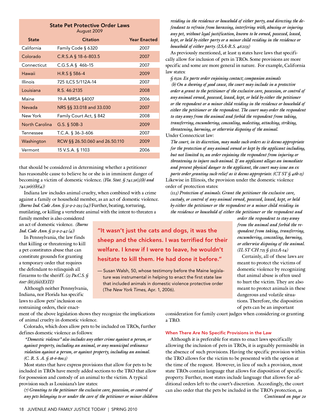| <b>State Pet Protective Order Laws</b><br>August 2009 |                                |                     |
|-------------------------------------------------------|--------------------------------|---------------------|
| <b>State</b>                                          | <b>Citation</b>                | <b>Year Enacted</b> |
| California                                            | Family Code § 6320             | 2007                |
| Colorado                                              | $C.R.S.A$ § 18-6-803.5         | 2007                |
| Connecticut                                           | $C.G.S.A$ § 46b-15             | 2007                |
| Hawaii                                                | H.R.S § 586-4                  | 2009                |
| Illinois                                              | 725 ILCS 5/112A-14             | 2007                |
| Louisiana                                             | R.S. 46:2135                   | 2008                |
| Maine                                                 | 19-A MRSA §4007                | 2006                |
| Nevada                                                | NRS §§ 33.018 and 33.030       | 2007                |
| New York                                              | Family Court Act, § 842        | 2008                |
| North Carolina                                        | G.S. $\S$ 50B-3                | 2009                |
| Tennessee                                             | T.C.A. § 36-3-606              | 2007                |
| Washington                                            | RCW §§ 26.50.060 and 26.50.110 | 2009                |
| Vermont                                               | 15 V.S.A. § 1103               | 2006                |

that should be considered in determining whether a petitioner has reasonable cause to believe he or she is in imminent danger of becoming a victim of domestic violence. *(Fla. Stat. § 741.30(3)(b) and 741.30(6)(b)(4))*

Indiana law includes animal cruelty, when combined with a crime against a family or household member, as an act of domestic violence. *(Burns Ind. Code Ann. § 31-9-2-29.5 (14))* Further, beating, torturing, mutilating, or killing a vertebrate animal with the intent to threaten a

family member is also considered an act of domestic violence. *(Burns Ind. Code Ann. § 31-9-2-42 (4))*

In Pennsylvania, the law finds that killing or threatening to kill a pet constitutes abuse that can constitute grounds for granting a temporary order that requires the defendant to relinquish all firearms to the sheriff. *(23 Pa.C.S. § 6107 (b)(3)(ii)(E)(II))*

Although neither Pennsylvania, Indiana, nor Florida has specific laws to allow pets' inclusion on restraining orders, their enact-

ment of the above legislation shows they recognize the implications of animal cruelty in domestic violence.

Colorado, which does allow pets to be included on TROs, further defines domestic violence as follows:

 *"Domestic violence" also includes any other crime against a person, or against property, including an animal, or any municipal ordinance violation against a person, or against property, including an animal. (C. R. S. A. § 18-6-800.3)* 

Most states that have express provisions that allow for pets to be included in TROs have merely added sections to the TRO that allow for possession and custody of an animal to the victim. A typical provision such as Louisiana's law states:

*(7) Granting to the petitioner the exclusive care, possession, or control of any pets belonging to or under the care of the petitioner or minor children* 

*residing in the residence or household of either party, and directing the defendant to refrain from harassing, interfering with, abusing or injuring any pet, without legal justification, known to be owned, possessed, leased, kept, or held by either party or a minor child residing in the residence or household of either party. (LSA-R.S. 46:2135)*

As previously mentioned, at least 13 states have laws that specifically allow for inclusion of pets in TROs. Some provisions are more specific and some are more general in nature. For example, California law states:

*§ 6320. Ex parte order enjoining contact; companion animals (b) On a showing of good cause, the court may include in a protective order a grant to the petitioner of the exclusive care, possession, or control of any animal owned, possessed, leased, kept, or held by either the petitioner or the respondent or a minor child residing in the residence or household of either the petitioner or the respondent. The court may order the respondent to stay away from the animal and forbid the respondent from taking, transferring, encumbering, concealing, molesting, attacking, striking, threatening, harming, or otherwise disposing of the animal.* 

Under Connecticut law:

"It wasn't just the cats and dogs, it was the

sheep and the chickens. I was terrified for their welfare. I knew if I were to leave, he wouldn't hesitate to kill them. He had done it before."

— Susan Walsh, 50, whose testimony before the Maine legislature was instrumental in helping to enact the first state law that included animals in domestic violence protective order

(*The New York Times,* Apr. 1, 2006).

*The court, in its discretion, may make such orders as it deems appropriate for the protection of any animal owned or kept by the applicant including, but not limited to, an order enjoining the respondent from injuring or threatening to injure such animal. If an applicant alleges an immediate and present physical danger to the applicant, the court may issue an ex parte order granting such relief as it deems appropriate. (CT ST § 46b-15)*

Likewise in Illinois, the provision under the domestic violence order of protection states:

*(11.5) Protection of animals. Grant the petitioner the exclusive care, custody, or control of any animal owned, possessed, leased, kept, or held by either the petitioner or the respondent or a minor child residing in the residence or household of either the petitioner or the respondent and* 

> *order the respondent to stay away from the animal and forbid the respondent from taking, transferring, encumbering, concealing, harming, or otherwise disposing of the animal. (IL ST CH 725 § 5/112A-14)*

Certainly, all of these laws are meant to protect the victims of domestic violence by recognizing that animal abuse is often used to hurt the victim. They are also meant to protect animals in these dangerous and volatile situations. Therefore, the disposition of pets can be an important

consideration for family court judges when considering or granting a TRO.

### When There Are No Specific Provisions in the Law

Although it is preferable for states to enact laws specifically allowing the inclusion of pets in TROs, it is arguably permissible in the absence of such provisions. Having the specific provision within the TRO allows for the victim to be presented with the option at the time of the request. However, in lieu of such a provision, most state TROs contain language that allows for disposition of specific property. Further, most states include language that allows for additional orders left to the court's discretion. Accordingly, the court can also order that the pets be included in the TRO's protection, as *Continued on page 20*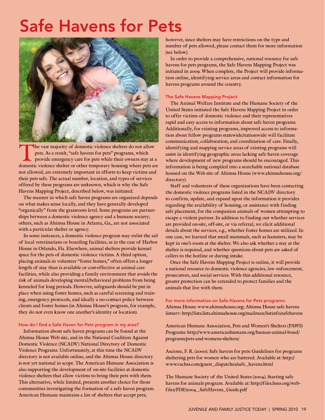# Safe Havens for Pets



The vast majority of domestic violence shelters do not allow<br>pets. As a result, "safe havens for pets" programs, which<br>provide emergency care for pets while their owners stay at a<br>domestic violence shelter or other tempora pets. As a result, "safe havens for pets" programs, which provide emergency care for pets while their owners stay at a domestic violence shelter or other temporary housing where pets are not allowed, are extremely important in efforts to keep victims and their pets safe. The actual number, location, and types of services offered by these programs are unknown, which is why the Safe Havens Mapping Project, described below, was initiated.

The manner in which safe haven programs are organized depends on what makes sense locally, and they have generally developed "organically" from the grassroots level. Some programs are partnerships between a domestic violence agency and a humane society; others, such as Ahimsa House in Atlanta, Ga., are not associated with a particular shelter or agency.

In some instances, a domestic violence program may enlist the aid of local veterinarians or boarding facilities, as in the case of Harbor House in Orlando, Fla. Elsewhere, animal shelters provide kennel space for the pets of domestic violence victims. A third option, placing animals in volunteer "foster homes," often offers a longer length of stay than is available or cost-effective at animal care facilities, while also providing a family environment that avoids the risk of animals developing mental/behavioral problems from being kenneled for long periods. However, safeguards should be put in place when using foster homes, such as careful screening and training, emergency protocols, and ideally a no-contact policy between clients and foster homes (in Ahimsa House's program, for example, they do not even know one another's identity or location).

### How do I find a Safe Haven for Pets program in my area?

Information about safe haven programs can be found at the Ahimsa House Web site, and in the National Coalition Against Domestic Violence (NCADV) National Directory of Domestic Violence Programs. Unfortunately, at this time the NCADV directory is not available online, and the Ahimsa House directory is not yet national in scope. The American Humane Association is also supporting the development of on-site facilities at domestic violence shelters that allow victims to bring their pets with them. This alternative, while limited, presents another choice for those communities investigating the formation of a safe haven program. American Humane maintains a list of shelters that accept pets;

however, since shelters may have restrictions on the type and number of pets allowed, please contact them for more information (see below).

In order to provide a comprehensive, national resource for safe havens for pets programs, the Safe Havens Mapping Project was initiated in 2009. When complete, the Project will provide information online, identifying service areas and contact information for havens programs around the country.

### The Safe Havens Mapping Project

The Animal Welfare Institute and the Humane Society of the United States initiated the Safe Havens Mapping Project in order to offer victims of domestic violence and their representatives rapid and easy access to information about safe haven programs. Additionally, for existing programs, improved access to information about fellow programs statewide/nationwide will facilitate communication, collaboration, and coordination of care. Finally, identifying and mapping service areas of existing programs will assist in identifying geographic areas lacking safe haven coverage where development of new programs should be encouraged. This information is being compiled into a searchable national database housed on the Web site of Ahimsa House (www.ahimsahouse.org/ directory).

Staff and volunteers of these organizations have been contacting the domestic violence programs listed in the NCADV directory to confirm, update, and expand upon the information it provides regarding the availability of housing, or assistance with finding safe placement, for the companion animals of women attempting to escape a violent partner. In addition to finding out whether services are provided on-site, off-site, or via referral, we elicit additional details about the services, e.g., whether foster homes are utilized. In one case, we learned that small mammals, such as hamsters, may be kept in one's room at the shelter. We also ask whether a stay at the shelter is required, and whether questions about pets are asked of callers to the hotline or during intake.

Once the Safe Havens Mapping Project is online, it will provide a national resource to domestic violence agencies, law enforcement, prosecutors, and social services. With this additional resource, greater protection can be extended to protect families and the animals that live with them.

### For more information on Safe Havens for Pets programs:

Ahimsa House: www.ahimsahouse.org; Ahimsa House safe havens listserv: http://lists.lists.ahimsahouse.org/mailman/listinfo/safehavens

American Humane Association, Pets and Women's Shelters (PAWS) Programs: http://www.americanhumane.org/human-animal-bond/ programs/pets-and-womens-shelters/

Ascione, F. R. (2000). Safe havens for pets: Guidelines for programs sheltering pets for women who are battered. Available at: http:// www.vachss.com/guest\_dispatches/safe\_havens.html

The Humane Society of the United States (2004). Starting safe havens for animals program. Available at: http://files.hsus.org/webfiles/PDF/2004\_SafeHavens\_Guide.pdf